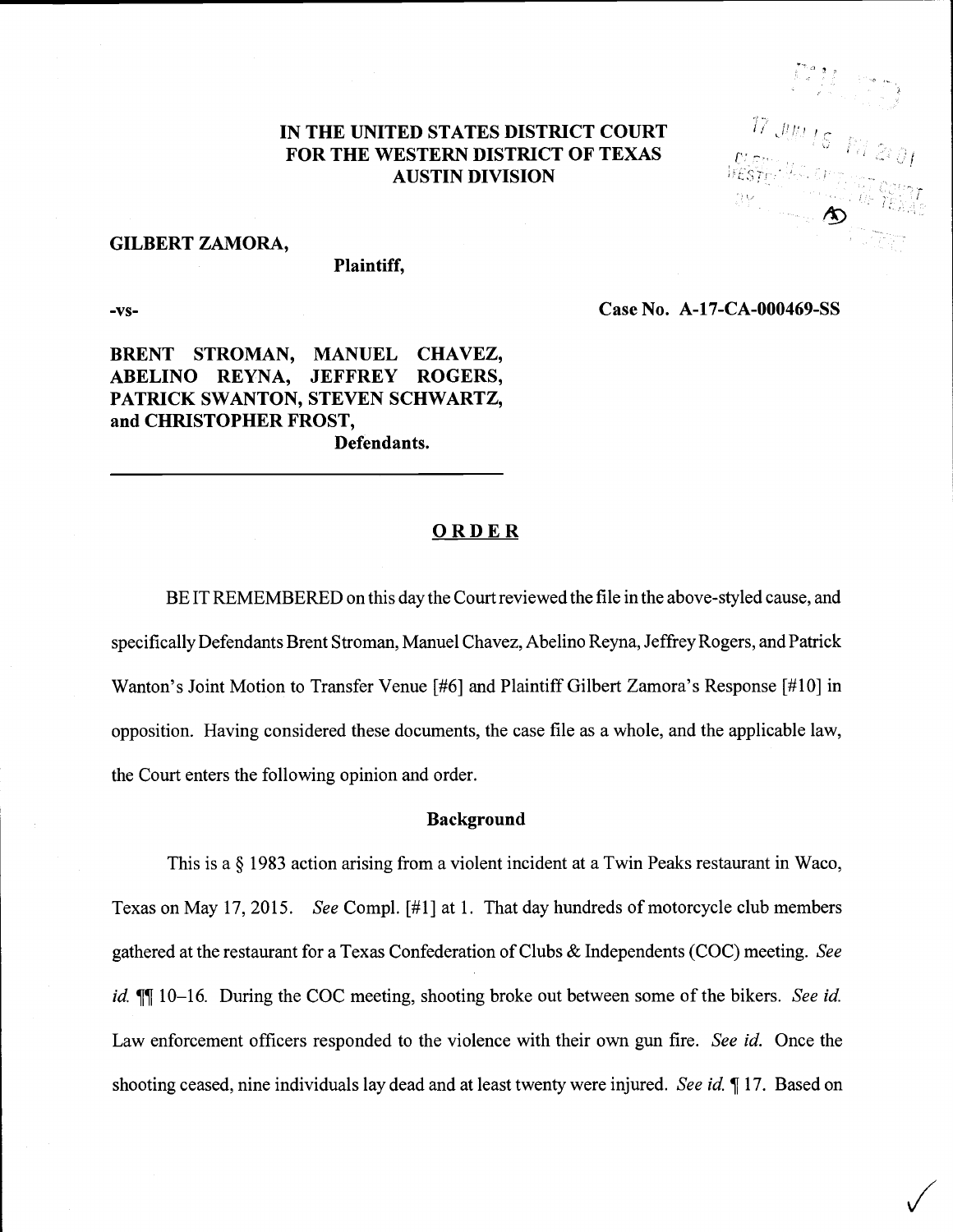# IN THE UNITED STATES DISTRICT COURT FOR THE WESTERN DISTRICT OF TEXAS AUSTIN DIVISION

### GILBERT ZAMORA,

### Plaintiff,

-vs-

Case No. A-17-CA-000469-SS

 $\bigvee$ 

# BRENT STROMAN, MANUEL CHAVEZ, ABELINO REYNA, JEFFREY ROGERS, PATRICK SWANTON, STEVEN SCHWARTZ, and CHRISTOPHER FROST, Defendants.

**ORDER** 

BE IT REMEMBERED on this day the Court reviewed the file in the above-styled cause, and specifically Defendants Brent Stroman, Manuel Chavez, Abelino Reyna, Jeffrey Rogers, and Patrick Wanton's Joint Motion to Transfer Venue [#6] and Plaintiff Gilbert Zamora's Response [#10] in opposition. Having considered these documents, the case file as a whole, and the applicable law, the Court enters the following opinion and order.

## Background

This is a § 1983 action arising from a violent incident at a Twin Peaks restaurant in Waco, Texas on May 17, 2015. See Compl. [#1] at 1. That day hundreds of motorcycle club members gathered at the restaurant for a Texas Confederation of Clubs & Independents (COC) meeting. See id. ¶[I] 10-16. During the COC meeting, shooting broke out between some of the bikers. See id. Law enforcement officers responded to the violence with their own gun fire. See id. Once the shooting ceased, nine individuals lay dead and at least twenty were injured. See id.  $\P$  17. Based on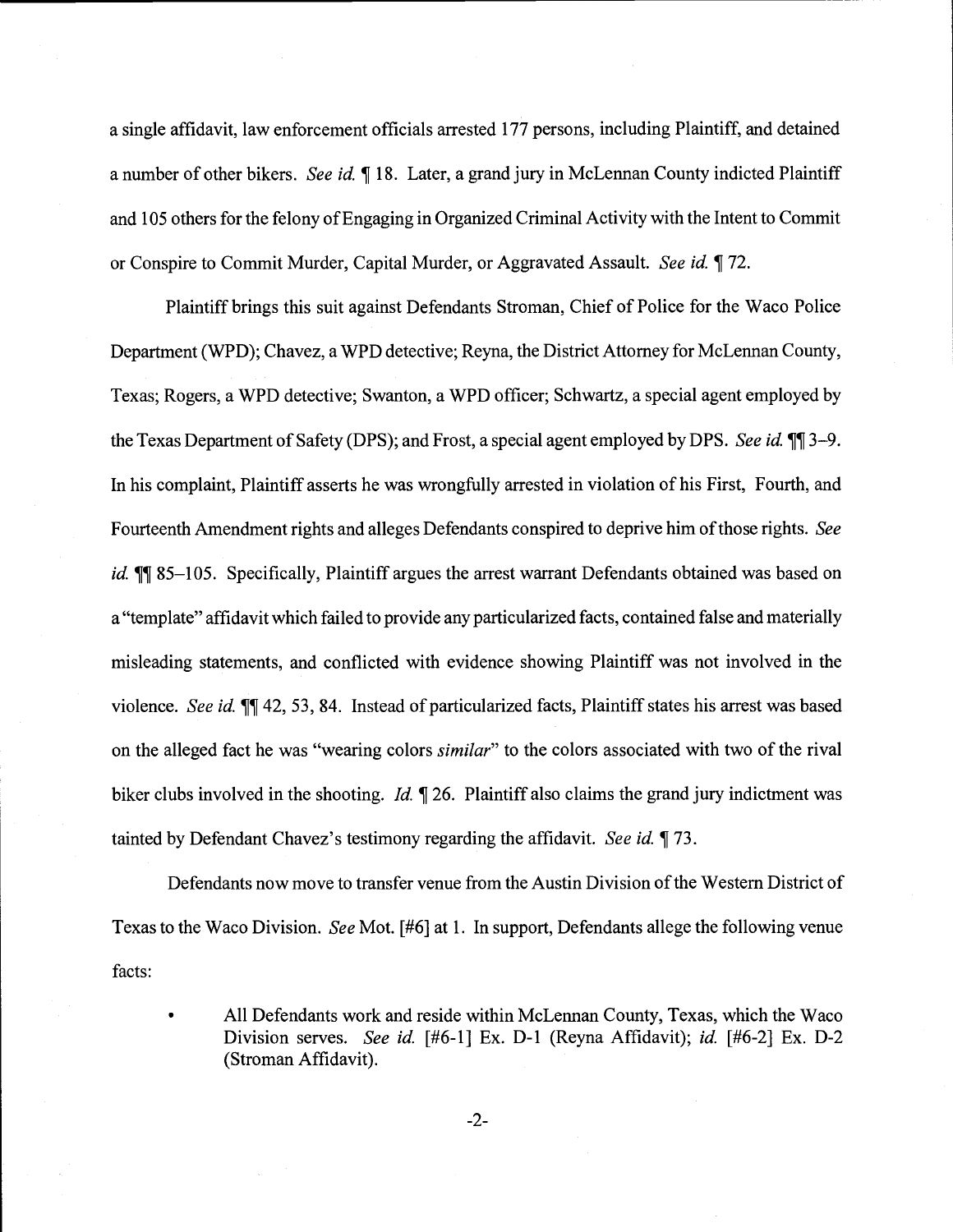a single affidavit, law enforcement officials arrested 177 persons, including Plaintiff, and detained a number of other bikers. See id. ¶ 18. Later, a grand jury in McLennan County indicted Plaintiff and 105 others for the felony of Engaging in Organized Criminal Activity with the Intent to Commit or Conspire to Commit Murder, Capital Murder, or Aggravated Assault. See id. 172.

Plaintiff brings this suit against Defendants Stroman, Chief of Police for the Waco Police Department (WPD); Chavez, a WPD detective; Reyna, the District Attorney for McLennan County, Texas; Rogers, a WPD detective; Swanton, a WPD officer; Schwartz, a special agent employed by the Texas Department of Safety (DPS); and Frost, a special agent employed by DPS. See id.  $\P$ ] 3-9. In his complaint, Plaintiff asserts he was wrongfully arrested in violation of his First, Fourth, and Fourteenth Amendment rights and alleges Defendants conspired to deprive him of those rights. See id.  $\P$  85-105. Specifically, Plaintiff argues the arrest warrant Defendants obtained was based on a "template" affidavit which failed to provide any particularized facts, contained false and materially misleading statements, and conflicted with evidence showing Plaintiff was not involved in the violence. See id.  $\P$ [42, 53, 84. Instead of particularized facts, Plaintiff states his arrest was based on the alleged fact he was "wearing colors *similar*" to the colors associated with two of the rival biker clubs involved in the shooting. *Id.* 126. Plaintiff also claims the grand jury indictment was tainted by Defendant Chavez's testimony regarding the affidavit. See id. 173.

Defendants now move to transfer venue from the Austin Division of the Western District of Texas to the Waco Division. See Mot. [#6] at 1. In support, Defendants allege the following venue facts:

All Defendants work and reside within McLennan County, Texas, which the Waco Division serves. See id. [#6-1] Ex. D-1 (Reyna Affidavit); id. [#6-2] Ex. D-2 (Stroman Affidavit).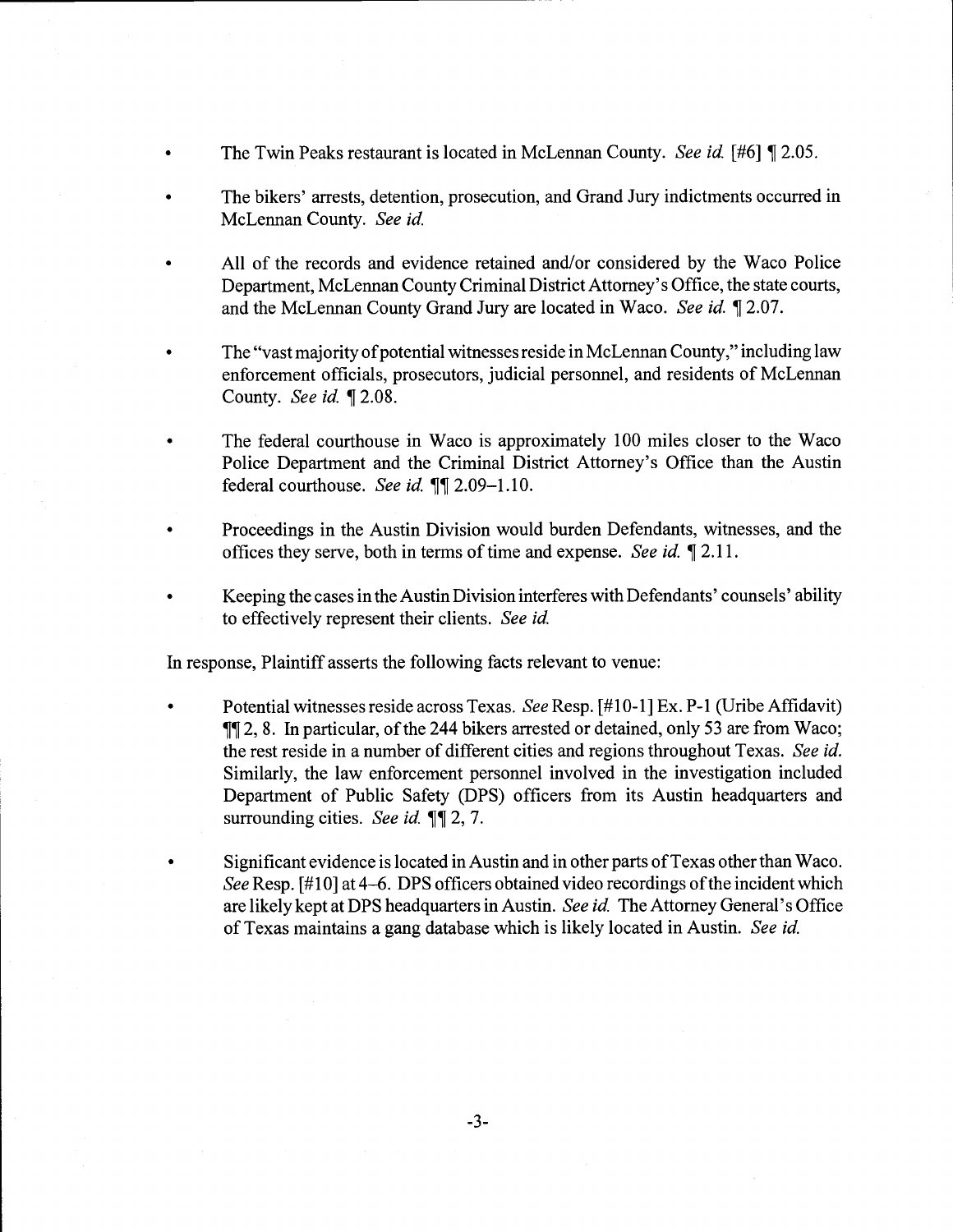- The Twin Peaks restaurant is located in McLennan County. See id. [#6] 1 2.05.
- The bikers' arrests, detention, prosecution, and Grand Jury indictments occurred in McLennan County. See id.
- All of the records and evidence retained and/or considered by the Waco Police Department, McLennan County Criminal District Attorney's Office, the state courts, and the McLennan County Grand Jury are located in Waco. See id.  $\P$  2.07.
- The "vast majority of potential witnesses reside in McLennan County," including law enforcement officials, prosecutors, judicial personnel, and residents of McLennan County. See id. ¶ 2.08.
- The federal courthouse in Waco is approximately 100 miles closer to the Waco Police Department and the Criminal District Attorney's Office than the Austin federal courthouse. See id. ¶¶ 2.09-1.10.
- Proceedings in the Austin Division would burden Defendants, witnesses, and the offices they serve, both in terms of time and expense. See id. 12.11.
- Keeping the cases in the Austin Division interferes with Defendants' counsels' ability to effectively represent their clients. See id.

In response, Plaintiff asserts the following facts relevant to venue:

- Potential witnesses reside across Texas. See Resp. [#10-1] Ex. P-i (Uribe Affidavit) ¶J 2, 8. In particular, of the 244 bikers arrested or detained, only 53 are from Waco; the rest reside in a number of different cities and regions throughout Texas. See id. Similarly, the law enforcement personnel involved in the investigation included Department of Public Safety (DPS) officers from its Austin headquarters and surrounding cities. See id.  $\P$  $\mathbb{I}$  2, 7.
- Significant evidence is located in Austin and in other parts of Texas other than Waco. See Resp. [#10] at 4-6. DPS officers obtained video recordings of the incident which are likely kept at DPS headquarters in Austin. See id. The Attorney General's Office of Texas maintains a gang database which is likely located in Austin. See id.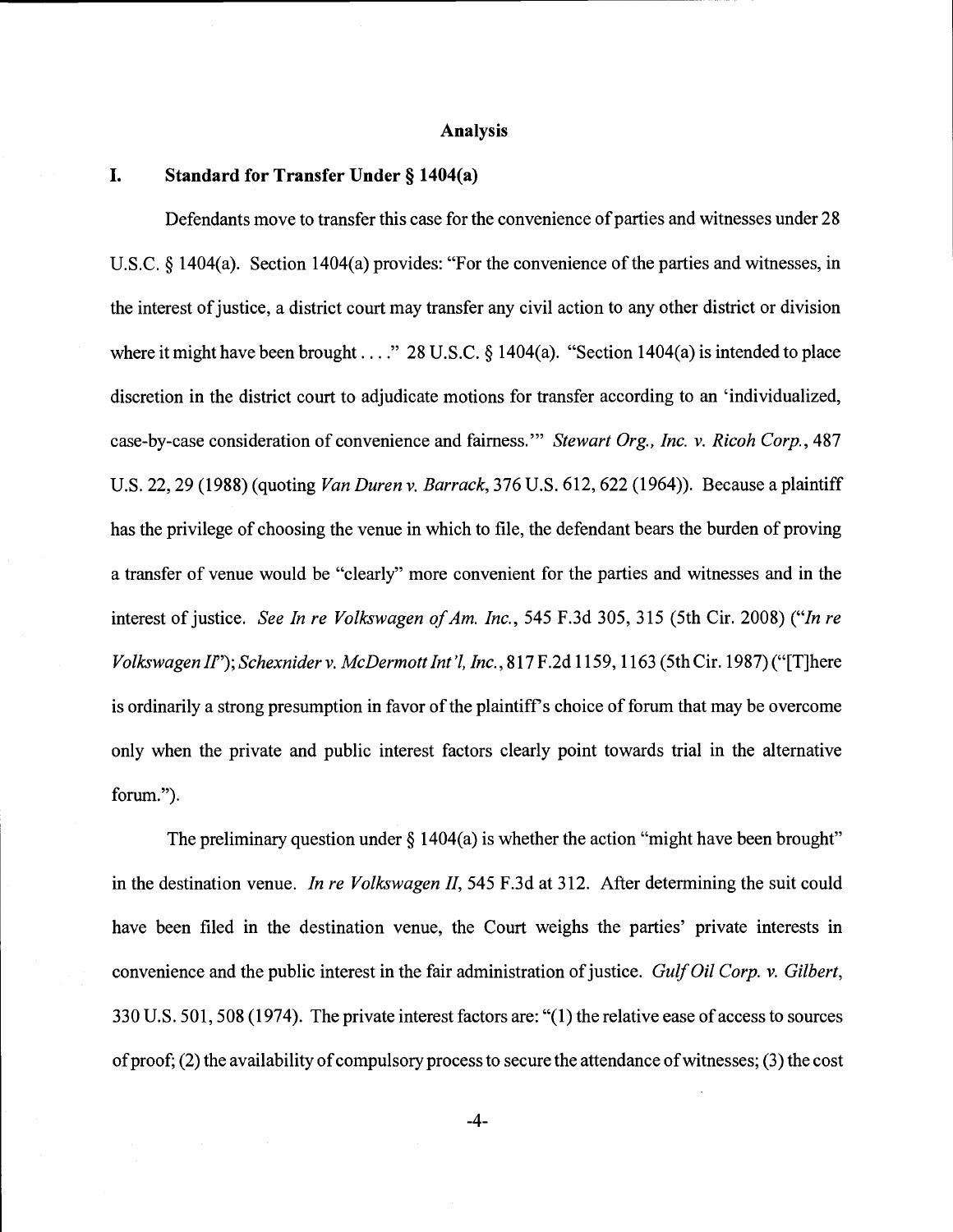### Analysis

# I. Standard for Transfer Under § 1404(a)

Defendants move to transfer this case for the convenience of parties and witnesses under 28 U.S.C. § 1404(a). Section 1404(a) provides: "For the convenience of the parties and witnesses, in the interest of justice, a district court may transfer any civil action to any other district or division where it might have been brought . . . ." 28 U.S.C.  $\S$  1404(a). "Section 1404(a) is intended to place discretion in the district court to adjudicate motions for transfer according to an 'individualized, case-by-case consideration of convenience and fairness." Stewart Org., Inc. v. Ricoh Corp., 487 U.S. 22, 29 (1988) (quoting Van Duren v. Barrack, 376 U.S. 612, 622 (1964)). Because a plaintiff has the privilege of choosing the venue in which to file, the defendant bears the burden of proving a transfer of venue would be "clearly" more convenient for the parties and witnesses and in the interest of justice. See In re Volkswagen of Am. Inc., 545 F.3d 305, 315 (5th Cir. 2008) ("In re Volkswagen II"); Schexnider v. McDermott Int'l, Inc., 817 F.2d 1159, 1163 (5th Cir. 1987) ("[T]here is ordinarily a strong presumption in favor of the plaintiff's choice of forum that may be overcome only when the private and public interest factors clearly point towards trial in the alternative forum.")

The preliminary question under  $\S$  1404(a) is whether the action "might have been brought" in the destination venue. *In re Volkswagen II*, 545 F.3d at 312. After determining the suit could have been filed in the destination venue, the Court weighs the parties' private interests in convenience and the public interest in the fair administration of justice. Gulf Oil Corp. v. Gilbert, 330 U.S. 501, 508 (1974). The private interest factors are: "(1) the relative ease of access to sources of proof; (2) the availability of compulsory process to secure the attendance of witnesses; (3) the cost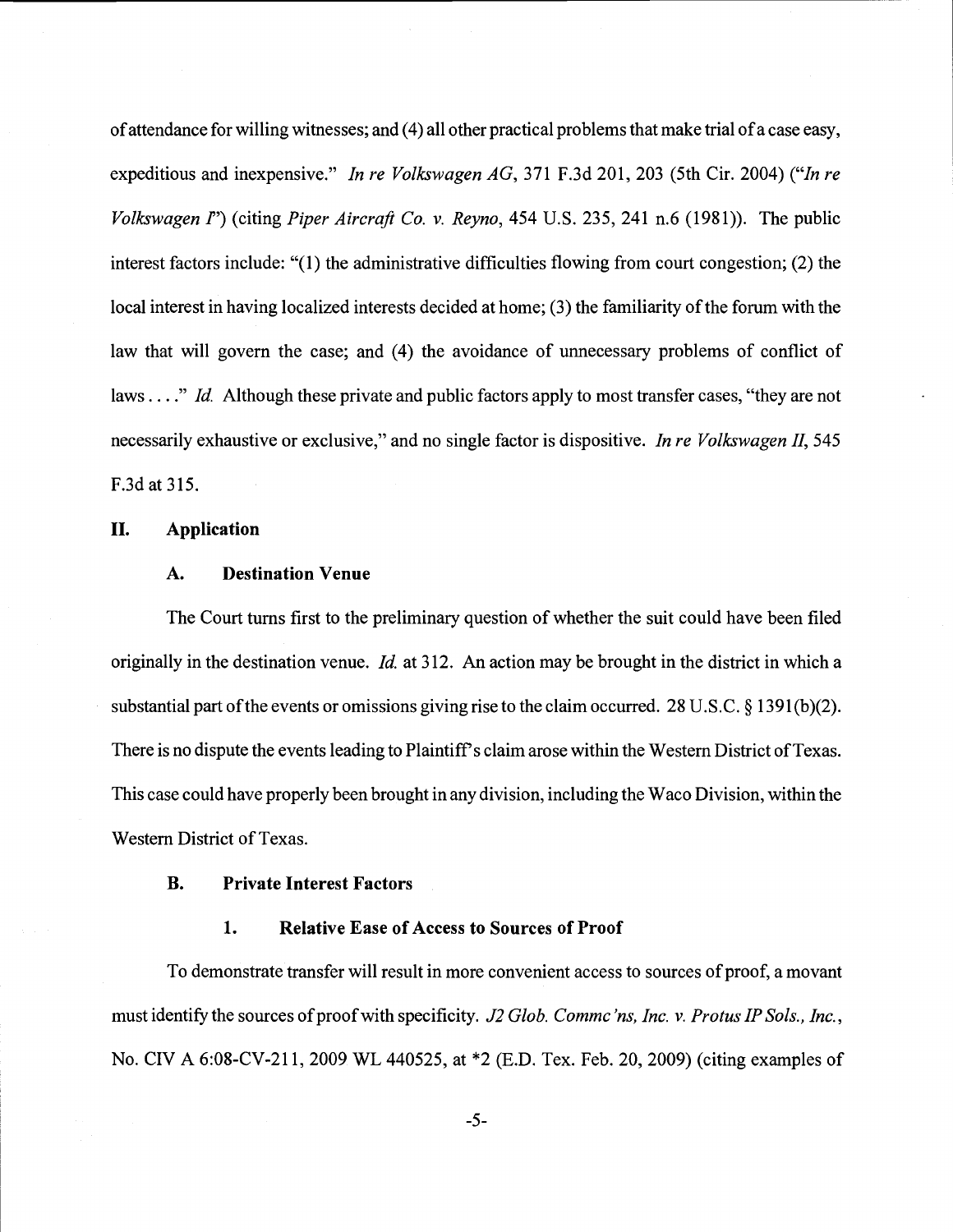of attendance for willing witnesses; and (4) all other practical problems that make trial of a case easy, expeditious and inexpensive." In re Volkswagen AG, 371 F.3d 201, 203 (5th Cir. 2004) ("In re Volkswagen  $I'$ ) (citing *Piper Aircraft Co. v. Reyno*, 454 U.S. 235, 241 n.6 (1981)). The public interest factors include: "(1) the administrative difficulties flowing from court congestion; (2) the local interest in having localized interests decided at home; (3) the familiarity of the forum with the law that will govern the case; and (4) the avoidance of unnecessary problems of conflict of laws...." Id. Although these private and public factors apply to most transfer cases, "they are not necessarily exhaustive or exclusive," and no single factor is dispositive. In re Volkswagen II, 545 F.3d at 315.

## II. Application

## A. Destination Venue

The Court turns first to the preliminary question of whether the suit could have been filed originally in the destination venue. *Id.* at 312. An action may be brought in the district in which a substantial part of the events or omissions giving rise to the claim occurred. 28 U.S.C. § 1391(b)(2). There is no dispute the events leading to Plaintiff's claim arose within the Western District of Texas. This case could have properly been brought in any division, including the Waco Division, within the Western District of Texas.

## B. Private Interest Factors

# 1. Relative Ease of Access to Sources of Proof

To demonstrate transfer will result in more convenient access to sources of proof, a movant must identify the sources of proof with specificity. J2 Glob. Comme'ns, Inc. v. Protus IP Sols., Inc., No. CIV A 6:08-CV-211, 2009 WL 440525, at \*2 (E.D. Tex. Feb. 20, 2009) (citing examples of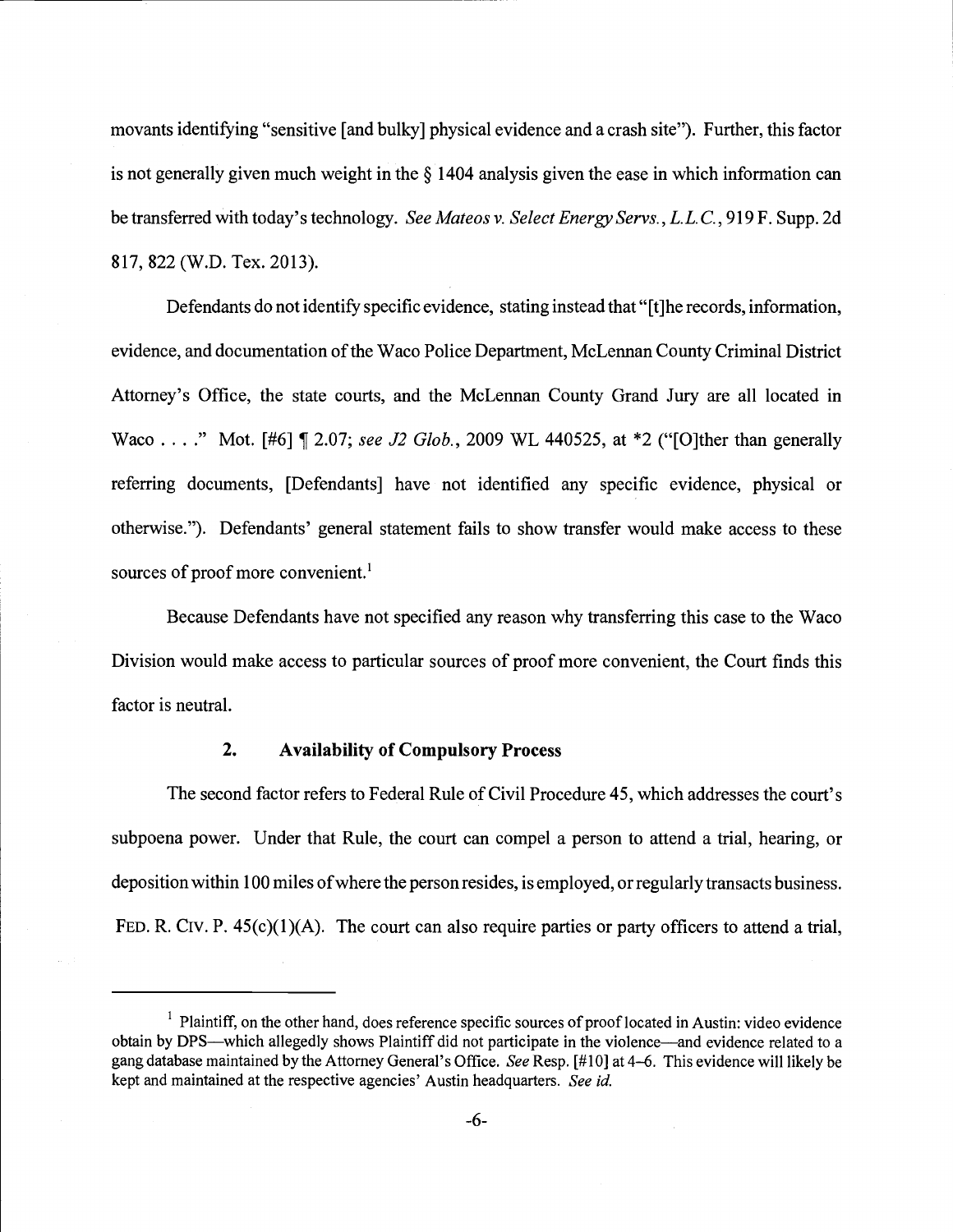movants identifying "sensitive [and bulky] physical evidence and a crash site"). Further, this factor is not generally given much weight in the § 1404 analysis given the ease in which information can be transferred with today's technology. See Mateos v. Select Energy Servs., L.L.C., 919 F. Supp. 2d 817, 822 (W.D. Tex. 2013).

Defendants do not identify specific evidence, stating instead that "[t]he records, information, evidence, and documentation of the Waco Police Department, McLennan County Criminal District Attorney's Office, the state courts, and the McLennan County Grand Jury are all located in Waco . . . ." Mot. [#6]  $\llbracket$  2.07; see J2 Glob., 2009 WL 440525, at \*2 ("[O]ther than generally referring documents, [Defendants] have not identified any specific evidence, physical or otherwise."). Defendants' general statement fails to show transfer would make access to these sources of proof more convenient.<sup>1</sup>

Because Defendants have not specified any reason why transferring this case to the Waco Division would make access to particular sources of proof more convenient, the Court finds this factor is neutral.

# 2. Availability of Compulsory Process

The second factor refers to Federal Rule of Civil Procedure 45, which addresses the court's subpoena power. Under that Rule, the court can compel a person to attend a trial, hearing, or deposition within 100 miles of where the person resides, is employed, or regularly transacts business. FED. R. CIV. P. 45(c)(1)(A). The court can also require parties or party officers to attend a trial,

 $<sup>1</sup>$  Plaintiff, on the other hand, does reference specific sources of proof located in Austin: video evidence</sup> obtain by DPS—which allegedly shows Plaintiff did not participate in the violence—and evidence related to a gang database maintained by the Attorney General's Office. See Resp. [#10] at 4-6. This evidence will likely be kept and maintained at the respective agencies' Austin headquarters. See id.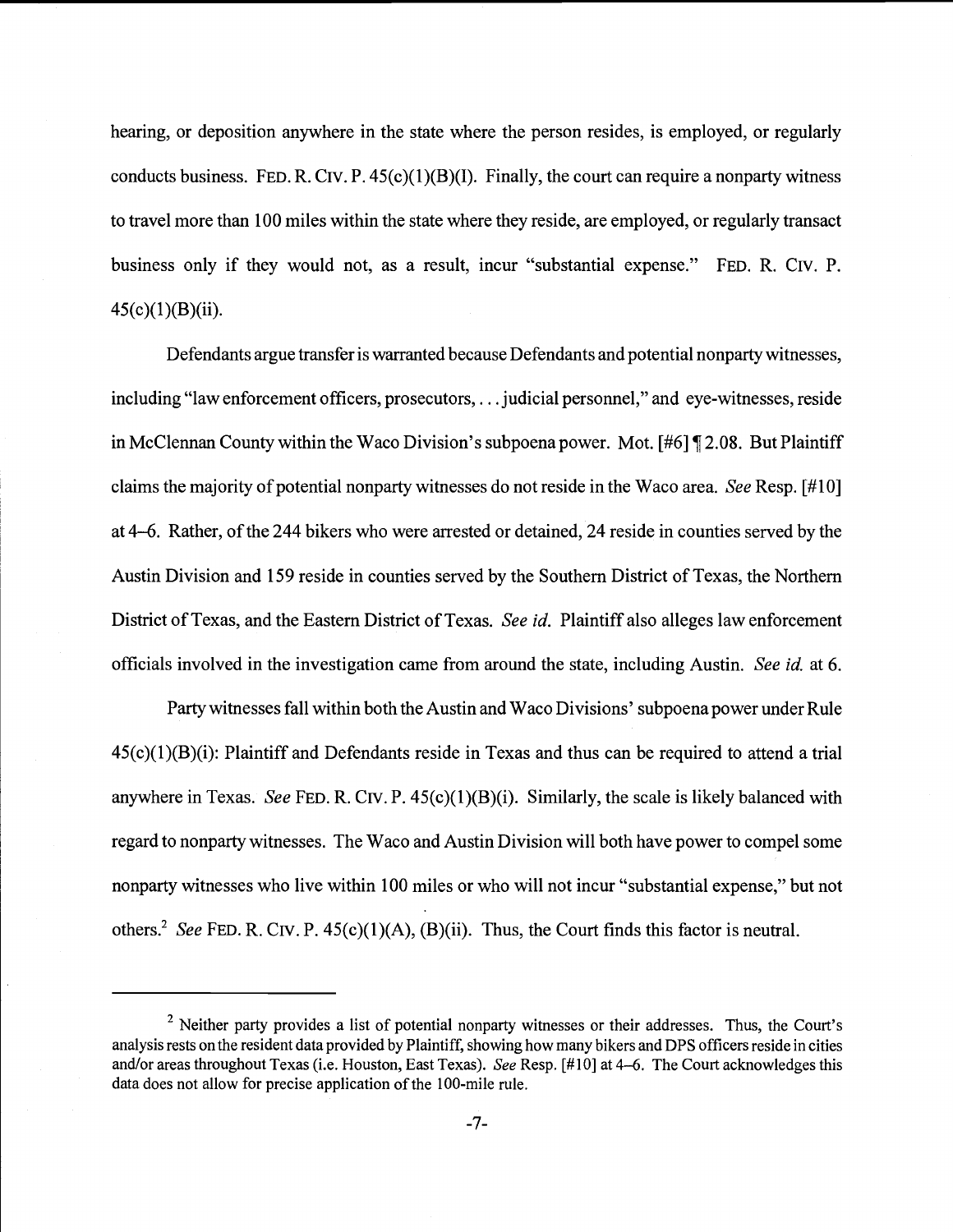hearing, or deposition anywhere in the state where the person resides, is employed, or regularly conducts business. FED. R. CIV. P.  $45(c)(1)(B)(I)$ . Finally, the court can require a nonparty witness to travel more than 100 miles within the state where they reside, are employed, or regularly transact business only if they would not, as a result, incur "substantial expense." FED. R. CIV. P.  $45(c)(1)(B)(ii)$ .

Defendants argue transfer is warranted because Defendants and potential nonparty witnesses, including "law enforcement officers, prosecutors,. . . judicial personnel," and eye-witnesses, reside in McClennan County within the Waco Division's subpoena power. Mot. [#6] ¶ 2.08. But Plaintiff claims the majority of potential nonparty witnesses do not reside in the Waco area. See Resp. [#10] at 4-6. Rather, of the 244 bikers who were arrested or detained, 24 reside in counties served by the Austin Division and 159 reside in counties served by the Southern District of Texas, the Northern District of Texas, and the Eastern District of Texas. See id. Plaintiff also alleges law enforcement officials involved in the investigation came from around the state, including Austin. See id. at 6.

Party witnesses fall within both the Austin and Waco Divisions' subpoena power under Rule  $45(c)(1)(B)(i)$ : Plaintiff and Defendants reside in Texas and thus can be required to attend a trial anywhere in Texas. See FED. R. CIV. P.  $45(c)(1)(B)(i)$ . Similarly, the scale is likely balanced with regard to nonparty witnesses. The Waco and Austin Division will both have power to compel some nonparty witnesses who live within 100 miles or who will not incur "substantial expense," but not others.<sup>2</sup> See FED. R. CIV. P.  $45(c)(1)(A)$ , (B)(ii). Thus, the Court finds this factor is neutral.

 $2$  Neither party provides a list of potential nonparty witnesses or their addresses. Thus, the Court's analysis rests on the resident data provided by Plaintiff, showing how many bikers and DPS officers reside in cities and/or areas throughout Texas (i.e. Houston, East Texas). See Resp. [#10] at 4-6. The Court acknowledges this data does not allow for precise application of the 100-mile rule.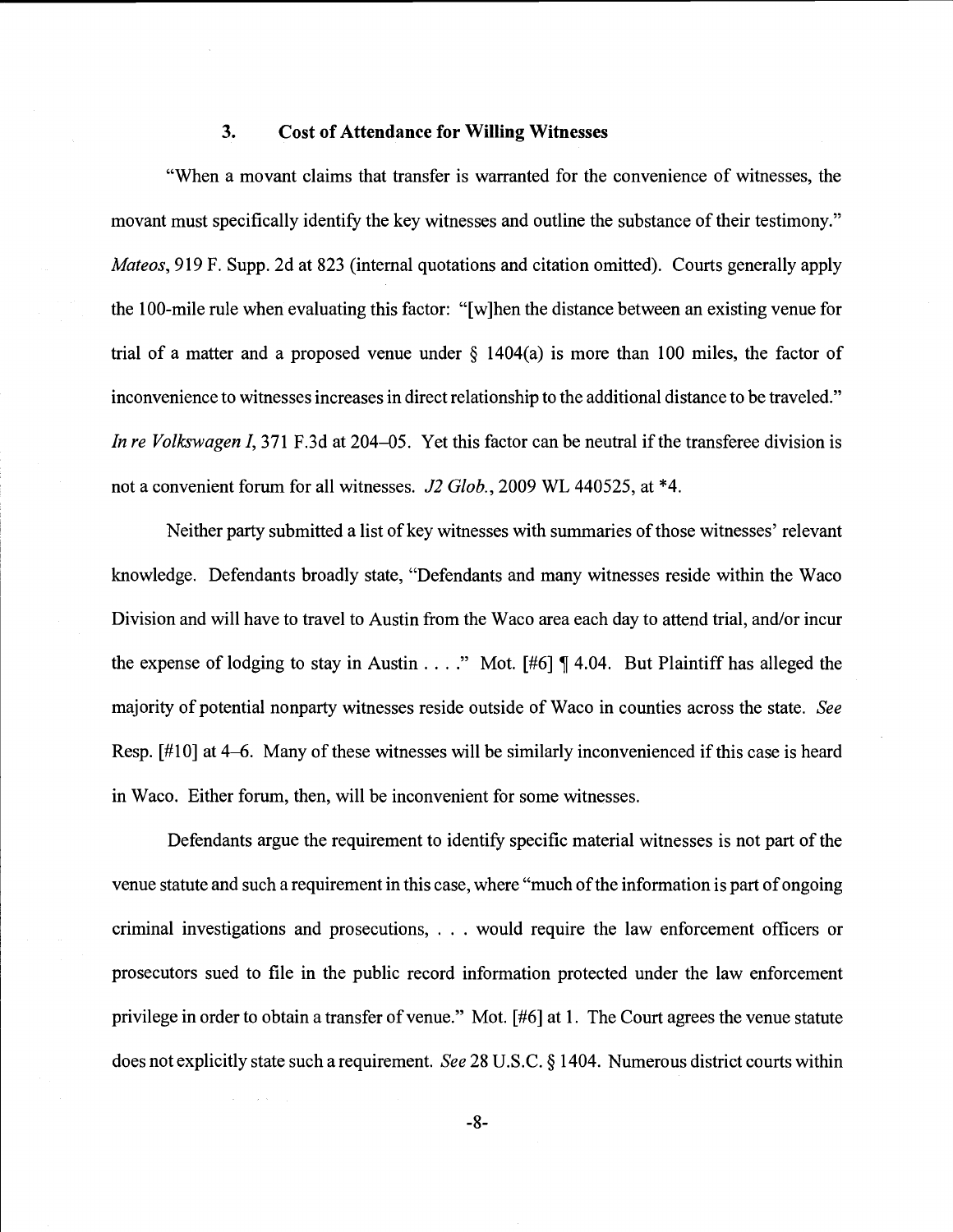### 3. Cost of Attendance for Willing Witnesses

"When a movant claims that transfer is warranted for the convenience of witnesses, the movant must specifically identify the key witnesses and outline the substance of their testimony." Mateos, 919 F. Supp. 2d at 823 (internal quotations and citation omitted). Courts generally apply the 100-mile rule when evaluating this factor: "[w]hen the distance between an existing venue for trial of a matter and a proposed venue under  $\S$  1404(a) is more than 100 miles, the factor of inconvenience to witnesses increases in direct relationship to the additional distance to be traveled." In re Volkswagen I, 371 F.3d at 204–05. Yet this factor can be neutral if the transferee division is not a convenient forum for all witnesses. J2 Glob., 2009 WL 440525, at \*4.

Neither party submitted a list of key witnesses with summaries of those witnesses' relevant knowledge. Defendants broadly state, "Defendants and many witnesses reside within the Waco Division and will have to travel to Austin from the Waco area each day to attend trial, and/or incur the expense of lodging to stay in Austin...." Mot.  $[#6] \P 4.04$ . But Plaintiff has alleged the majority of potential nonparty witnesses reside outside of Waco in counties across the state. See Resp. [#10] at 4-6. Many of these witnesses will be similarly inconvenienced if this case is heard in Waco. Either forum, then, will be inconvenient for some witnesses.

Defendants argue the requirement to identify specific material witnesses is not part of the venue statute and such a requirement in this case, where "much of the information is part of ongoing criminal investigations and prosecutions, . . . would require the law enforcement officers or prosecutors sued to file in the public record information protected under the law enforcement privilege in order to obtain a transfer of venue." Mot. [#6] at 1. The Court agrees the venue statute does not explicitly state such a requirement. See 28 U.S.C. § 1404. Numerous district courts within

 $-8-$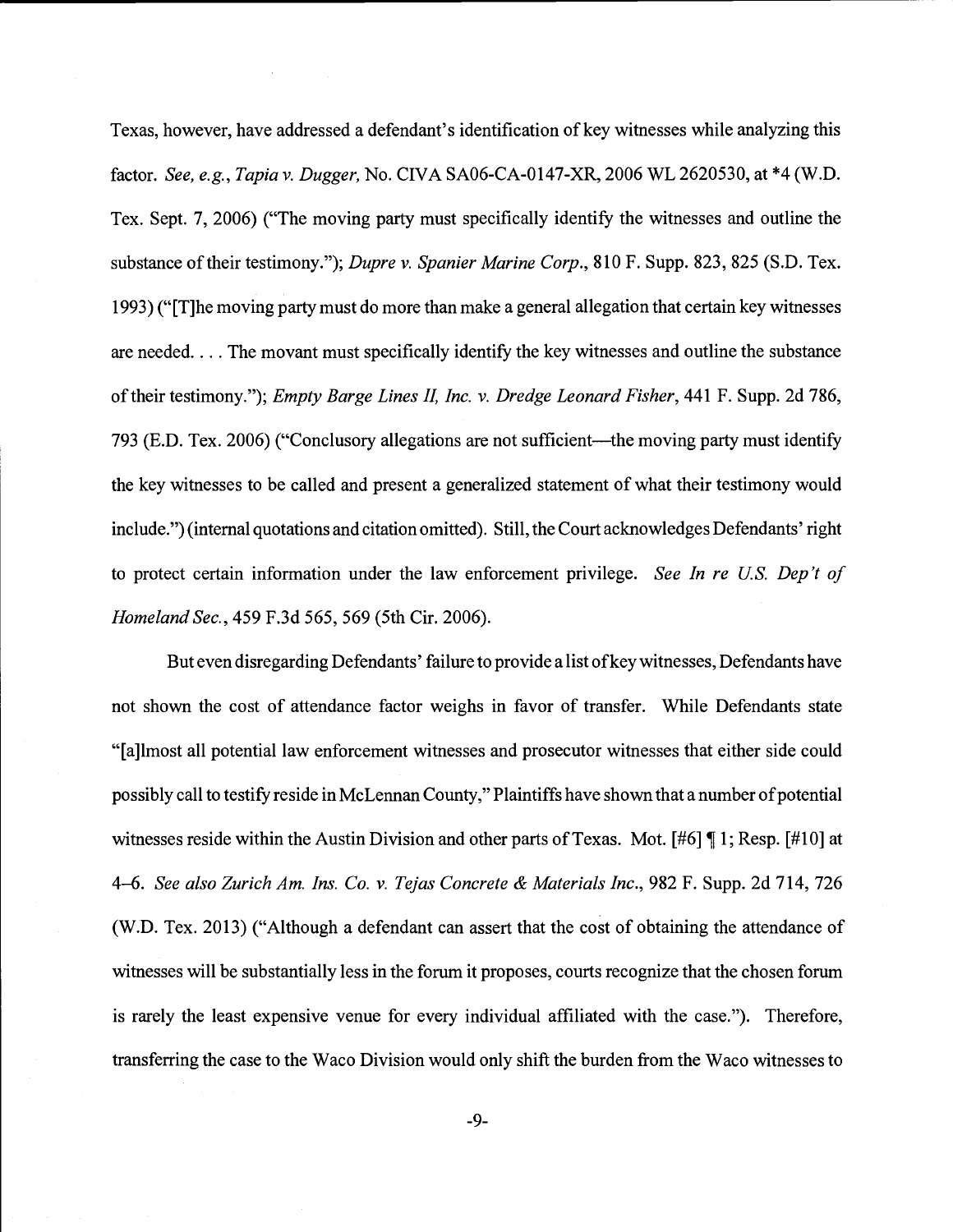Texas, however, have addressed a defendant's identification of key witnesses while analyzing this factor. See, e.g., Tapia v. Dugger, No. CIVA SAO6-CA-0147-XR, 2006 WL 2620530, at \*4 (W.D. Tex. Sept. 7, 2006) ("The moving party must specifically identify the witnesses and outline the substance of their testimony."); Dupre v. Spanier Marine Corp., 810 F. Supp. 823, 825 (S.D. Tex. 1993) ("[T]he moving party must do more than make a general allegation that certain key witnesses are needed. . . . The movant must specifically identify the key witnesses and outline the substance of their testimony."); Empty Barge Lines II, Inc. v. Dredge Leonard Fisher, 441 F. Supp. 2d 786, 793 (E.D. Tex. 2006) ("Conclusory allegations are not sufficient—the moving party must identify the key witnesses to be called and present a generalized statement of what their testimony would include.") (internal quotations and citation omitted). Still, the Court acknowledges Defendants' right to protect certain information under the law enforcement privilege. See In re U.S. Dep't of Homeland Sec., 459 F.3d 565, 569 (5th Cir. 2006).

But even disregarding Defendants' failure to provide a list of key witnesses, Defendants have not shown the cost of attendance factor weighs in favor of transfer. While Defendants state "[a]lmost all potential law enforcement witnesses and prosecutor witnesses that either side could possibly call to testify reside in McLennan County," Plaintiffs have shown that a number of potential witnesses reside within the Austin Division and other parts of Texas. Mot. [#6] ¶ 1; Resp. [#10] at 4-6. See also Zurich Am. Ins. Co. v. Tejas Concrete & Materials Inc., 982 F. Supp. 2d 714, 726 (W.D. Tex. 2013) ("Although a defendant can assert that the cost of obtaining the attendance of witnesses will be substantially less in the forum it proposes, courts recognize that the chosen forum is rarely the least expensive venue for every individual affiliated with the case."). Therefore, transferring the case to the Waco Division would only shift the burden from the Waco witnesses to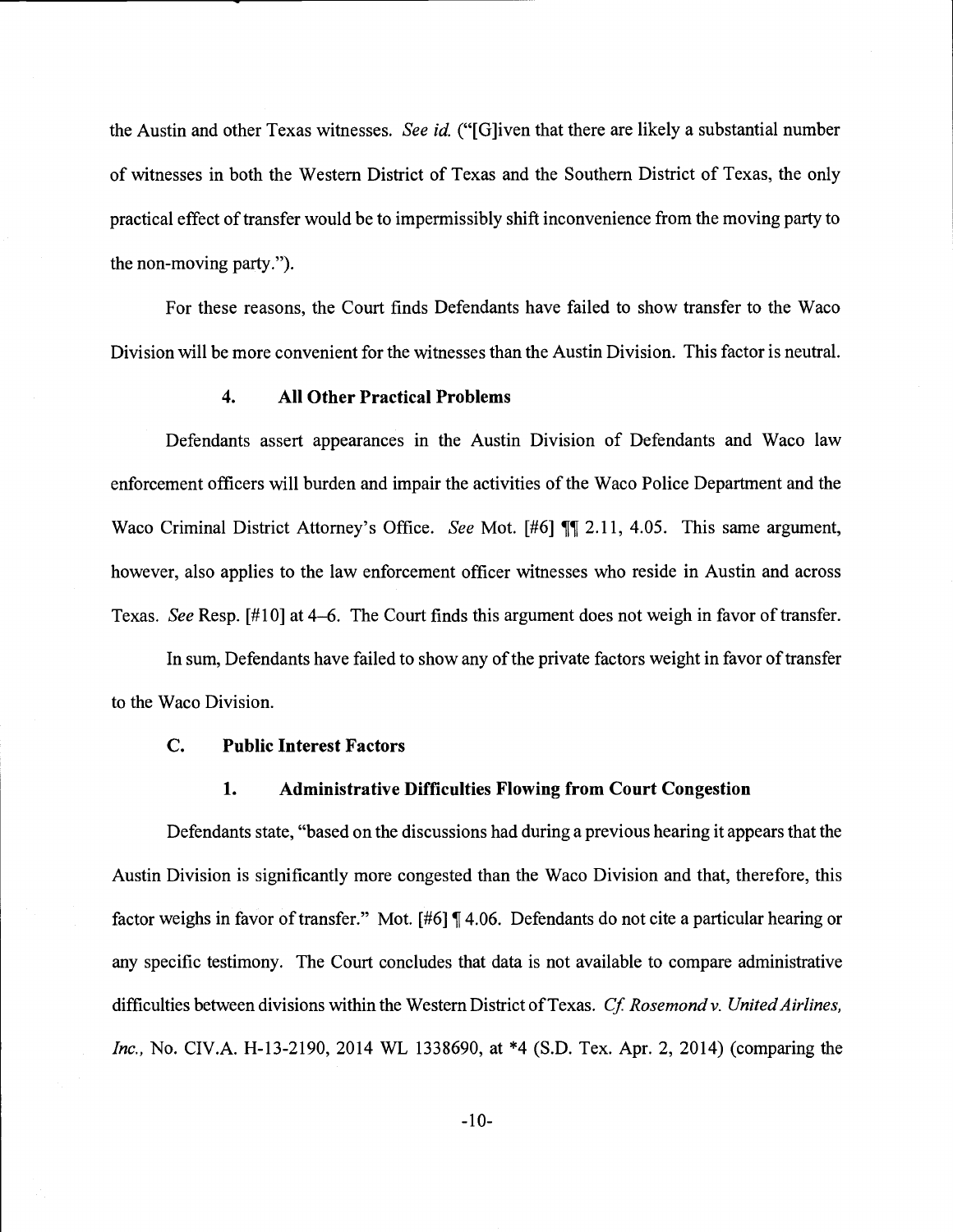the Austin and other Texas witnesses. See id. ("[G]iven that there are likely a substantial number of witnesses in both the Western District of Texas and the Southern District of Texas, the only practical effect of transfer would be to impermissibly shift inconvenience from the moving party to the non-moving party.").

For these reasons, the Court finds Defendants have failed to show transfer to the Waco Division will be more convenient for the witnesses than the Austin Division. This factor is neutral.

## 4. All Other Practical Problems

Defendants assert appearances in the Austin Division of Defendants and Waco law enforcement officers will burden and impair the activities of the Waco Police Department and the Waco Criminal District Attorney's Office. See Mot.  $[#6]$  ¶ 2.11, 4.05. This same argument, however, also applies to the law enforcement officer witnesses who reside in Austin and across Texas. See Resp. [#10] at 4-6. The Court finds this argument does not weigh in favor of transfer.

In sum, Defendants have failed to show any of the private factors weight in favor of transfer to the Waco Division.

## C. Public Interest Factors

# 1. Administrative Difficulties Flowing from Court Congestion

Defendants state, "based on the discussions had during a previous hearing it appears that the Austin Division is significantly more congested than the Waco Division and that, therefore, this factor weighs in favor of transfer." Mot. [#6] ¶ 4.06. Defendants do not cite a particular hearing or any specific testimony. The Court concludes that data is not available to compare administrative difficulties between divisions within the Western District of Texas. Cf. Rosemond v. United Airlines, Inc., No. CIV.A. H-13-2190, 2014 WL 1338690, at \*4 (S.D. Tex. Apr. 2, 2014) (comparing the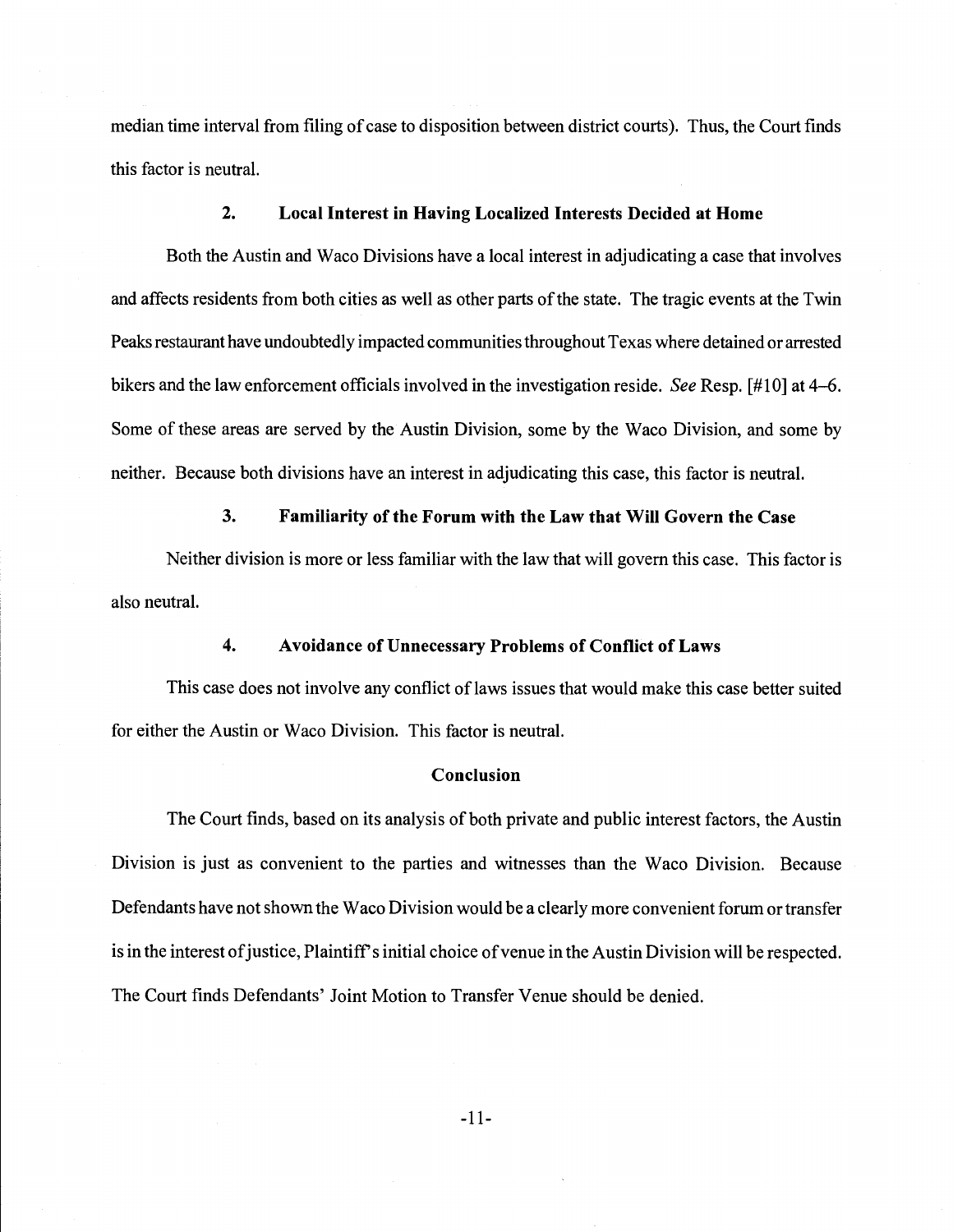median time interval from filing of case to disposition between district courts). Thus, the Court finds this factor is neutral.

# 2. Local Interest in Having Localized Interests Decided at Home

Both the Austin and Waco Divisions have a local interest in adjudicating a case that involves and affects residents from both cities as well as other parts of the state. The tragic events at the Twin Peaks restaurant have undoubtedly impacted communities throughout Texas where detained or arrested bikers and the law enforcement officials involved in the investigation reside. See Resp. [#10] at 4–6. Some of these areas are served by the Austin Division, some by the Waco Division, and some by neither. Because both divisions have an interest in adjudicating this case, this factor is neutral.

### 3. Familiarity of the Forum with the Law that Will Govern the Case

Neither division is more or less familiar with the law that will govern this case. This factor is also neutral.

### 4. Avoidance of Unnecessary Problems of Conflict of Laws

This case does not involve any conflict of laws issues that would make this case better suited for either the Austin or Waco Division. This factor is neutral.

### Conclusion

The Court finds, based on its analysis of both private and public interest factors, the Austin Division is just as convenient to the parties and witnesses than the Waco Division. Because Defendants have not shown the Waco Division would be a clearly more convenient forum or transfer is in the interest of justice, Plaintiff's initial choice of venue in the Austin Division will be respected. The Court finds Defendants' Joint Motion to Transfer Venue should be denied.

-11-